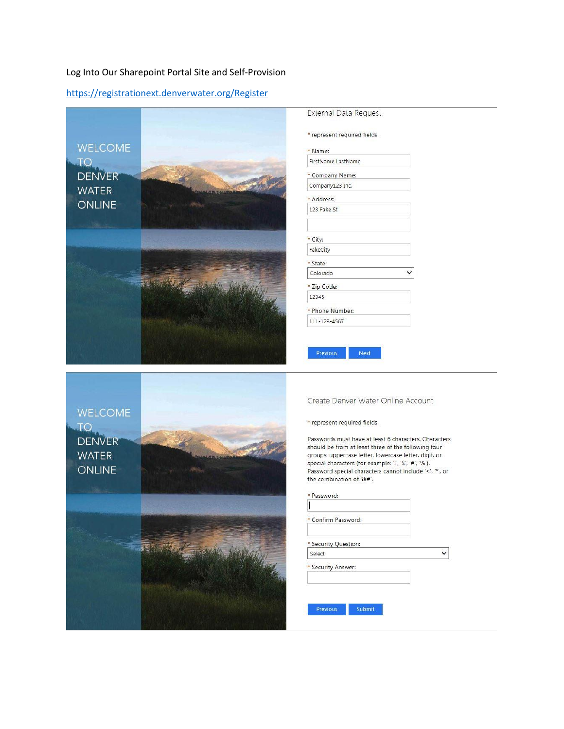### Log Into Our Sharepoint Portal Site and Self-Provision

https://registrationext.denverwater.org/Register



\* represent required fields.

| * Name:                        |  |
|--------------------------------|--|
| FirstName LastName             |  |
| * Company Name:                |  |
| Company123 Inc.                |  |
| * Address:                     |  |
| 123 Fake St                    |  |
|                                |  |
| * City:                        |  |
| FakeCity                       |  |
| * State:                       |  |
| Colorado                       |  |
| * Zip Code:                    |  |
| 12345                          |  |
| * Phone Number:                |  |
| 111-123-4567                   |  |
|                                |  |
| <b>Previous</b><br><b>Next</b> |  |
|                                |  |



Create Denver Water Online Account

\* represent required fields.

Passwords must have at least 6 characters. Characters should be from at least three of the following four groups: uppercase letter, lowercase letter, digit, or special characters (for example: '!', '\$', '#', '%'). Password special characters cannot include '<', '\*', or the combination of '&#'.

| * Confirm Password:  |  |
|----------------------|--|
|                      |  |
| * Security Question: |  |
| Select               |  |
| * Security Answer:   |  |
|                      |  |
|                      |  |
|                      |  |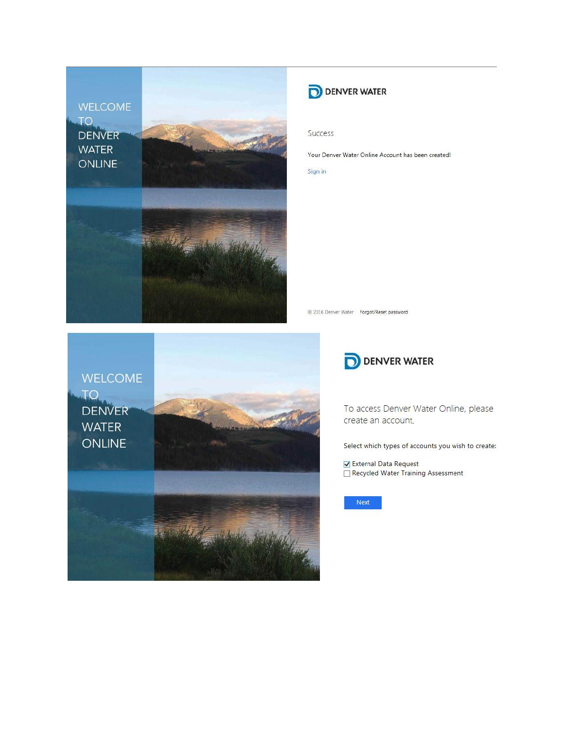**WELCOME TO DENVER WATER** ONLINE



# **DENVER WATER**

Success

Your Denver Water Online Account has been created!

Sign in

@ 2016 Denver Water Forgot/Reset password





To access Denver Water Online, please create an account.

Select which types of accounts you wish to create:

✔ External Data Request Recycled Water Training Assessment

Next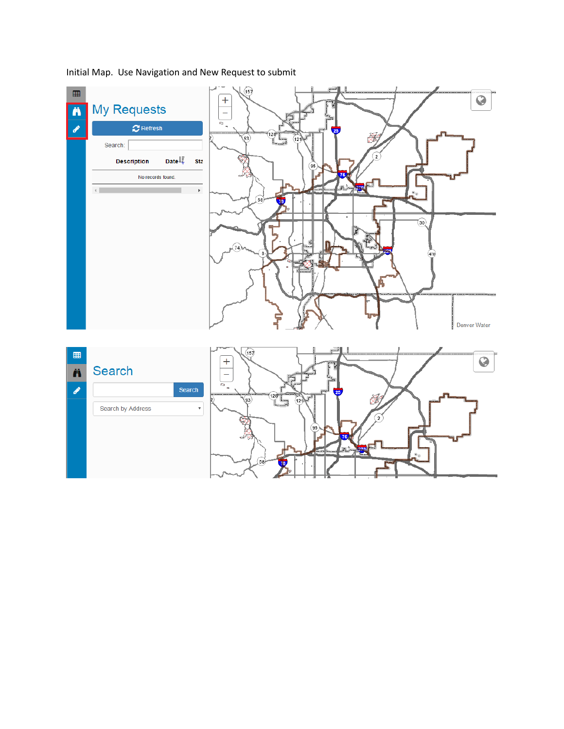$\widehat{\left(15\right)}$  $\blacksquare$  $\overline{Q}$  $\overline{+}$ **My Requests** Ä  $\equiv$  $\overline{a}$ .  $\boldsymbol{C}$  Refresh  $\left(93\right)$ ₿ Search: **Description** Date  $\downarrow$ **Sta** 95 No records found.  $\left\langle \cdot \right\rangle$  $\bar{\mathbf{F}}$ VD.  $\widehat{30}$ 470 Denver Water  $\overline{157}$  $\begin{matrix} \begin{matrix} 1 \\ 2 \end{matrix} \end{matrix} \end{matrix}$  $\overline{Q}$  $\overline{+}$ Search Ä  $\overline{z}$  $\frac{1}{p}$ Search ℐ 93 Search by Address  $\bar{\mathbf{v}}$ 

Initial Map. Use Navigation and New Request to submit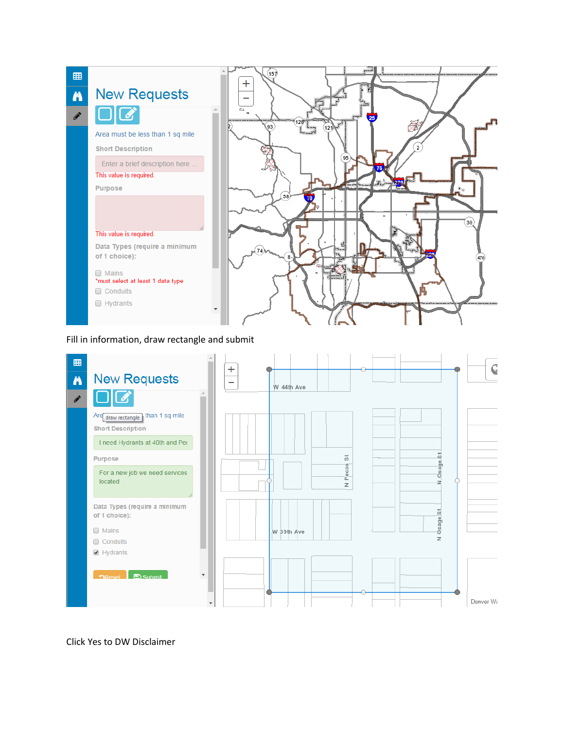

Fill in information, draw rectangle and submit



Click Yes to DW Disclaimer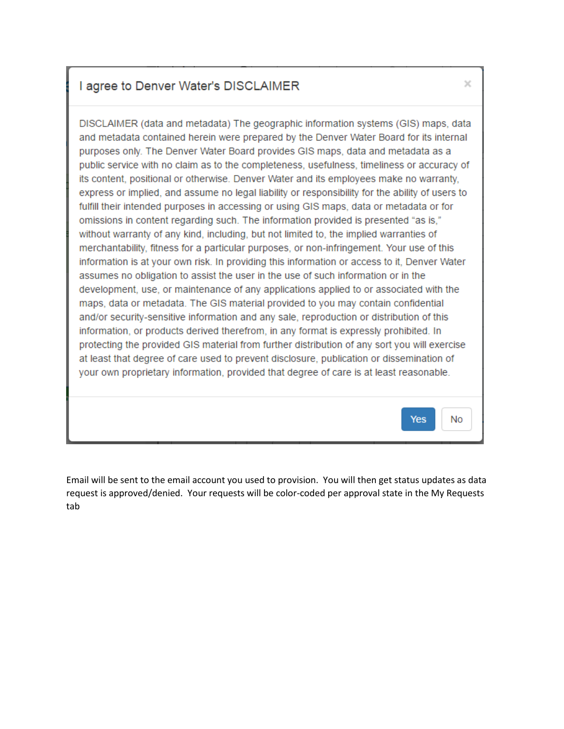## I agree to Denver Water's DISCLAIMER

DISCLAIMER (data and metadata) The geographic information systems (GIS) maps, data and metadata contained herein were prepared by the Denver Water Board for its internal purposes only. The Denver Water Board provides GIS maps, data and metadata as a public service with no claim as to the completeness, usefulness, timeliness or accuracy of its content, positional or otherwise. Denver Water and its employees make no warranty, express or implied, and assume no legal liability or responsibility for the ability of users to fulfill their intended purposes in accessing or using GIS maps, data or metadata or for omissions in content regarding such. The information provided is presented "as is," without warranty of any kind, including, but not limited to, the implied warranties of merchantability, fitness for a particular purposes, or non-infringement. Your use of this information is at your own risk. In providing this information or access to it, Denver Water assumes no obligation to assist the user in the use of such information or in the development, use, or maintenance of any applications applied to or associated with the maps, data or metadata. The GIS material provided to you may contain confidential and/or security-sensitive information and any sale, reproduction or distribution of this information, or products derived therefrom, in any format is expressly prohibited. In protecting the provided GIS material from further distribution of any sort you will exercise at least that degree of care used to prevent disclosure, publication or dissemination of your own proprietary information, provided that degree of care is at least reasonable.

Email will be sent to the email account you used to provision. You will then get status updates as data request is approved/denied. Your requests will be color-coded per approval state in the My Requests tab

 $\!\times\!$ 

Yes

**No**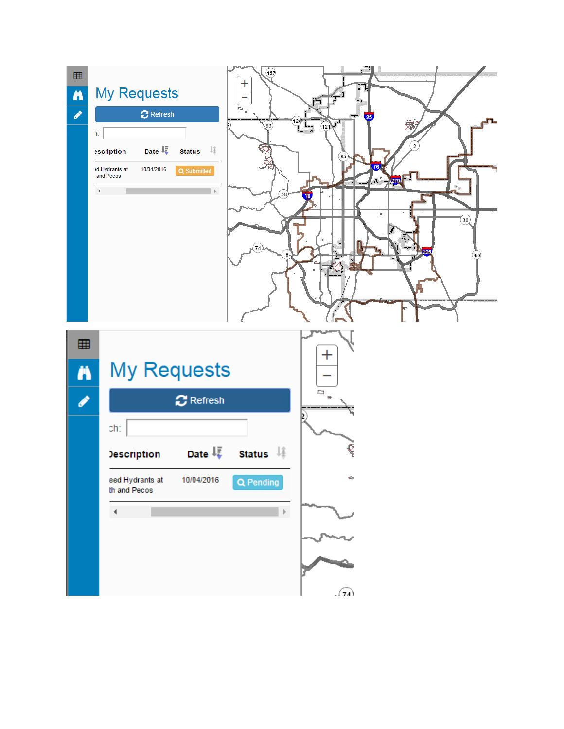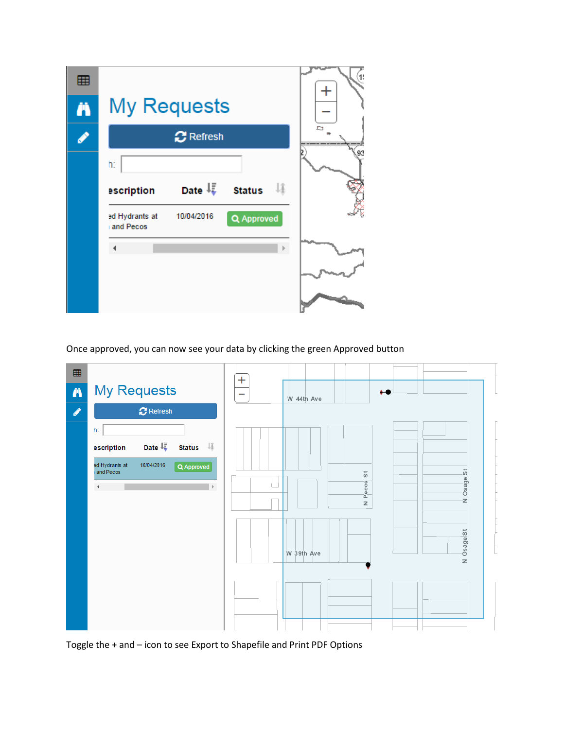| 囲<br>Ä | <b>My Requests</b>                                             | 1: |
|--------|----------------------------------------------------------------|----|
| Í      | <b>C</b> Refresh                                               | D. |
|        | h.<br>Date $\downarrow \frac{1}{2}$ Status<br>Jî<br>escription | ۹٦ |
|        | 10/04/2016<br>ed Hydrants at<br>Q Approved<br>and Pecos        |    |
|        |                                                                |    |

Once approved, you can now see your data by clicking the green Approved button



Toggle the + and – icon to see Export to Shapefile and Print PDF Options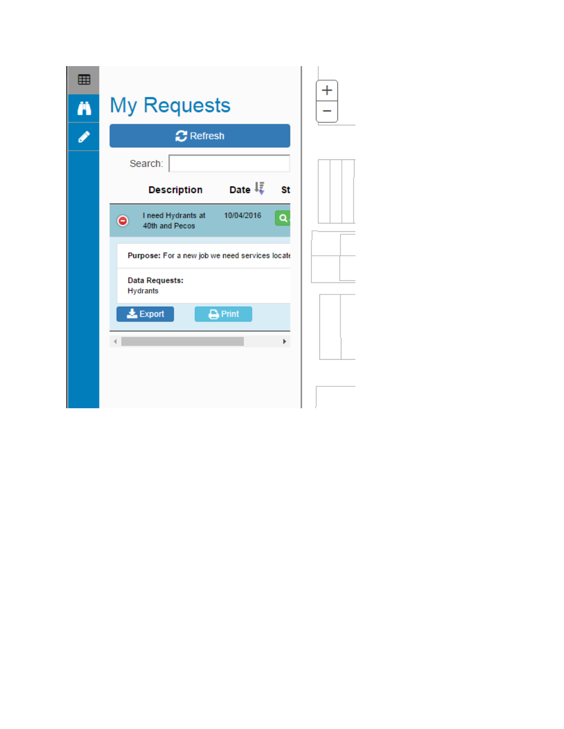| 囲 |                                                                      |  |
|---|----------------------------------------------------------------------|--|
| Ä | <b>My Requests</b>                                                   |  |
| O | <b>C</b> Refresh                                                     |  |
|   | Search:                                                              |  |
|   | Date $\downarrow \bar{\downarrow}$<br><b>Description</b><br>St       |  |
|   | 10/04/2016<br>I need Hydrants at<br>Q<br>$\bullet$<br>40th and Pecos |  |
|   | Purpose: For a new job we need services locate                       |  |
|   | <b>Data Requests:</b><br>Hydrants                                    |  |
|   | $\frac{1}{26}$ Export<br>$\Box$ Print                                |  |
|   |                                                                      |  |
|   |                                                                      |  |
|   |                                                                      |  |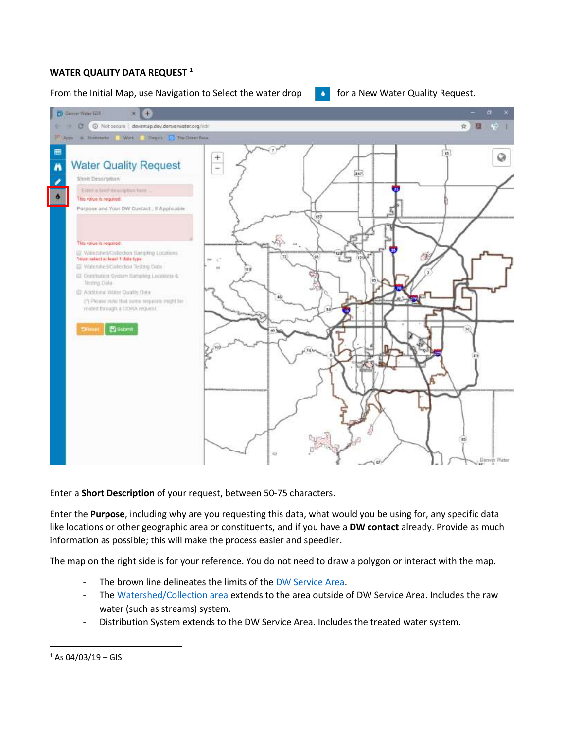### **WATER QUALITY DATA REQUEST <sup>1</sup>**

#### From the Initial Map, use Navigation to Select the water drop  $\bullet$  for a New Water Quality Request.



Enter a **Short Description** of your request, between 50-75 characters.

Enter the **Purpose**, including why are you requesting this data, what would you be using for, any specific data like locations or other geographic area or constituents, and if you have a **DW contact** already. Provide as much information as possible; this will make the process easier and speedier.

The map on the right side is for your reference. You do not need to draw a polygon or interact with the map.

- The brown line delineates the limits of th[e DW Service Area.](https://www.denverwater.org/about-us/how-we-operate/service-area)
- The [Watershed/Collection area](https://www.denverwater.org/your-water/water-supply-and-planning/collection-system) extends to the area outside of DW Service Area. Includes the raw water (such as streams) system.
- Distribution System extends to the DW Service Area. Includes the treated water system.

 $\overline{\phantom{a}}$ 

 $1$  As 04/03/19 – GIS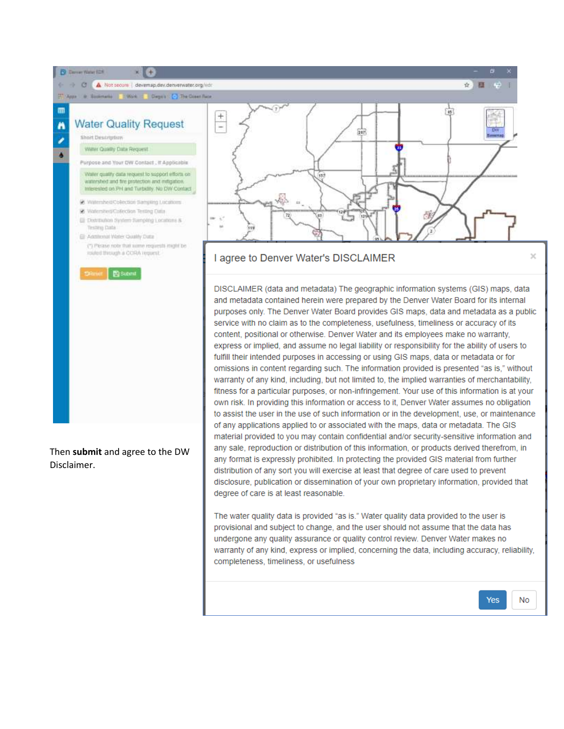

Then **submit** and agree to the DW Disclaimer.

any format is expressly prohibited. In protecting the provided GIS material from further distribution of any sort you will exercise at least that degree of care used to prevent disclosure, publication or dissemination of your own proprietary information, provided that degree of care is at least reasonable.

> The water quality data is provided "as is." Water quality data provided to the user is provisional and subject to change, and the user should not assume that the data has undergone any quality assurance or quality control review. Denver Water makes no warranty of any kind, express or implied, concerning the data, including accuracy, reliability, completeness, timeliness, or usefulness

> content, positional or otherwise. Denver Water and its employees make no warranty, express or implied, and assume no legal liability or responsibility for the ability of users to fulfill their intended purposes in accessing or using GIS maps, data or metadata or for omissions in content regarding such. The information provided is presented "as is," without warranty of any kind, including, but not limited to, the implied warranties of merchantability, fitness for a particular purposes, or non-infringement. Your use of this information is at your own risk. In providing this information or access to it, Denver Water assumes no obligation to assist the user in the use of such information or in the development, use, or maintenance of any applications applied to or associated with the maps, data or metadata. The GIS material provided to you may contain confidential and/or security-sensitive information and any sale, reproduction or distribution of this information, or products derived therefrom, in